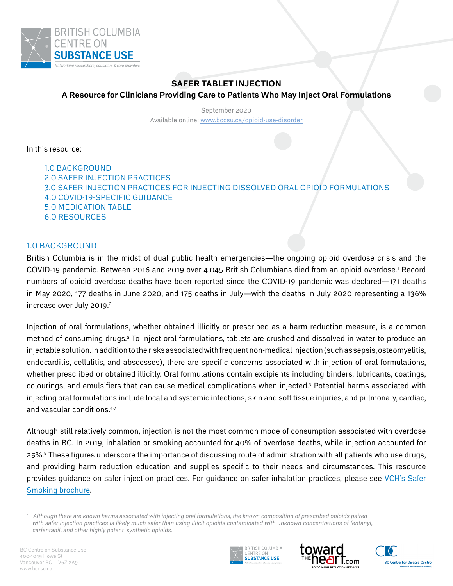

# **SAFER TABLET INJECTION A Resource for Clinicians Providing Care to Patients Who May Inject Oral Formulations**

September 2020 Available online: [www.bccsu.ca/](https://www.bccsu.ca/opioid-use-disorder)opioid-use-disorder

In this resource:

[1.0 Background](#page-0-0) [2.0 Safer Injection Practices](#page-1-0) [3.0 Safer Injection Practices for Injecting Dissolved Oral Opioid Formulations](#page-3-0) [4.0 COVID-19-specific](#page-5-0) Guidance [5.0 Medication Table](#page-5-1) [6.0 Resources](#page-8-0)

# <span id="page-0-0"></span>1.0 BACKGROUND

British Columbia is in the midst of dual public health emergencies—the ongoing opioid overdose crisis and the COVID-19 pandemic. Between 2016 and 2019 over 4,045 British Columbians died from an opioid overdose.1 Record numbers of opioid overdose deaths have been reported since the COVID-19 pandemic was declared—171 deaths in May 2020, 177 deaths in June 2020, and 175 deaths in July—with the deaths in July 2020 representing a 136% increase over July 2019.<sup>2</sup>

Injection of oral formulations, whether obtained illicitly or prescribed as a harm reduction measure, is a common method of consuming drugs.<sup>a</sup> To inject oral formulations, tablets are crushed and dissolved in water to produce an injectable solution.In addition to the risks associated with frequent non-medical injection (such as sepsis, osteomyelitis, endocarditis, cellulitis, and abscesses), there are specific concerns associated with injection of oral formulations, whether prescribed or obtained illicitly. Oral formulations contain excipients including binders, lubricants, coatings, colourings, and emulsifiers that can cause medical complications when injected.3 Potential harms associated with injecting oral formulations include local and systemic infections, skin and soft tissue injuries, and pulmonary, cardiac, and vascular conditions.4-7

Although still relatively common, injection is not the most common mode of consumption associated with overdose deaths in BC. In 2019, inhalation or smoking accounted for 40% of overdose deaths, while injection accounted for 25%.<sup>8</sup> These figures underscore the importance of discussing route of administration with all patients who use drugs, and providing harm reduction education and supplies specific to their needs and circumstances. This resource provides guidance on safer injection practices. For guidance on safer inhalation practices, please see [VCH's Safer](https://vch.eduhealth.ca/PDFs/DB/DB.500.S341.pdf)  [Smoking brochure.](https://vch.eduhealth.ca/PDFs/DB/DB.500.S341.pdf)







*a Although there are known harms associated with injecting oral formulations, the known composition of prescribed opioids paired*  with safer injection practices is likely much safer than using illicit opioids contaminated with unknown concentrations of fentanyl, *carfentanil, and other highly potent synthetic opioids.*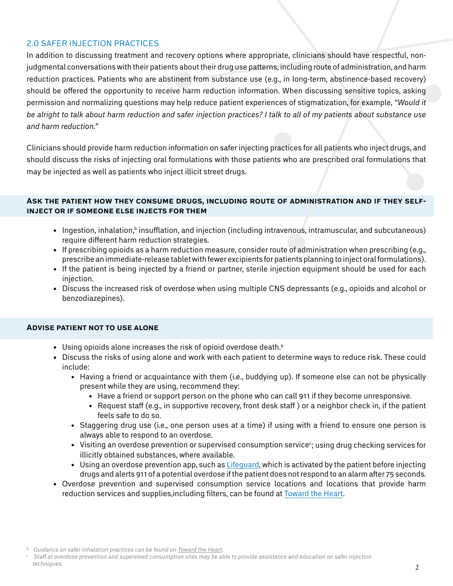# <span id="page-1-0"></span>2.0 SAFER INJECTION PRACTICES

In addition to discussing treatment and recovery options where appropriate, clinicians should have respectful, nonjudgmental conversations with their patients about their drug use patterns, including route of administration, and harm reduction practices. Patients who are abstinent from substance use (e.g., in long-term, abstinence-based recovery) should be offered the opportunity to receive harm reduction information. When discussing sensitive topics, asking permission and normalizing questions may help reduce patient experiences of stigmatization, for example, *"Would it be alright to talk about harm reduction and safer injection practices? I talk to all of my patients about substance use and harm reduction."* 

Clinicians should provide harm reduction information on safer injecting practices for all patients who inject drugs, and should discuss the risks of injecting oral formulations with those patients who are prescribed oral formulations that may be injected as well as patients who inject illicit street drugs.

### **Ask the patient how they consume drugs, including route of administration and if they selfinject or if someone else injects for them**

- Ingestion, inhalation, $^{\rm b}$  insufflation, and injection (including intravenous, intramuscular, and subcutaneous) require different harm reduction strategies.
- If prescribing opioids as a harm reduction measure, consider route of administration when prescribing (e.g., prescribe an immediate-release tablet with fewer excipients for patients planning to inject oral formulations).
- If the patient is being injected by a friend or partner, sterile injection equipment should be used for each injection.
- Discuss the increased risk of overdose when using multiple CNS depressants (e.g., opioids and alcohol or benzodiazepines).

### **Advise patient not to use alone**

- Using opioids alone increases the risk of opioid overdose death.<sup>9</sup>
- • Discuss the risks of using alone and work with each patient to determine ways to reduce risk. These could include:
	- • Having a friend or acquaintance with them (i.e., buddying up). If someone else can not be physically present while they are using, recommend they:
		- Have a friend or support person on the phone who can call 911 if they become unresponsive.
		- Request staff (e.g., in supportive recovery, front desk staff) or a neighbor check in, if the patient feels safe to do so.
	- • Staggering drug use (i.e., one person uses at a time) if using with a friend to ensure one person is always able to respond to an overdose.
	- $\bullet$  Visiting an overdose prevention or supervised consumption service $\degree$ ; using drug checking services for illicitly obtained substances, where available.
	- Using an overdose prevention app, such as [Lifeguard](https://lifeguarddh.com/), which is activated by the patient before injecting drugs and alerts 911 of a potential overdose if the patient does not respond to an alarm after 75 seconds.
- Overdose prevention and supervised consumption service locations and locations that provide harm reduction services and supplies,including filters, can be found at [Toward the Heart.](https://towardtheheart.com/site-finder)

*b Guidance on safer inhalation practices can be found on [Toward the Heart](https://towardtheheart.com/safer-use).*

*c Staff at overdose prevention and supervised consumption sites may be able to provide assistance and education on safer injection techniques.*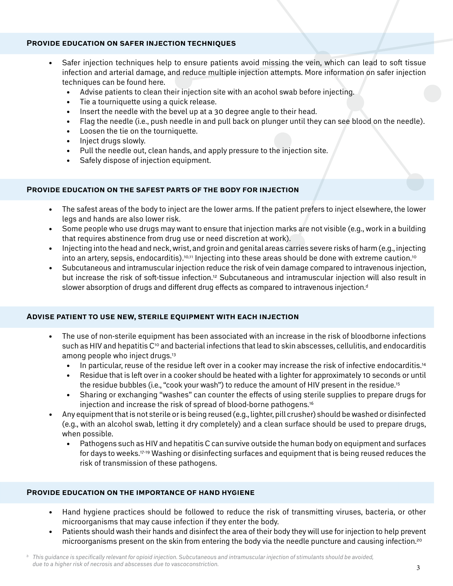### **Provide education on safer injection techniques**

- Safer injection techniques help to ensure patients avoid missing the vein, which can lead to soft tissue infection and arterial damage, and reduce multiple injection attempts. More information on safer injection techniques can be found here.
	- Advise patients to clean their injection site with an acohol swab before injecting.
	- Tie a tourniquette using a quick release.
	- Insert the needle with the bevel up at a 30 degree angle to their head.
	- Flag the needle (i.e., push needle in and pull back on plunger until they can see blood on the needle).
	- • Loosen the tie on the tourniquette.
	- Inject drugs slowly.
	- Pull the needle out, clean hands, and apply pressure to the injection site.
	- Safely dispose of injection equipment.

## **Provide education on the safest parts of the body for injection**

- The safest areas of the body to inject are the lower arms. If the patient prefers to inject elsewhere, the lower legs and hands are also lower risk.
- • Some people who use drugs may want to ensure that injection marks are not visible (e.g., work in a building that requires abstinence from drug use or need discretion at work).
- Injecting into the head and neck, wrist, and groin and genital areas carries severe risks of harm (e.g., injecting into an artery, sepsis, endocarditis).<sup>10,11</sup> Injecting into these areas should be done with extreme caution.<sup>10</sup>
- Subcutaneous and intramuscular injection reduce the risk of vein damage compared to intravenous injection, but increase the risk of soft-tissue infection.12 Subcutaneous and intramuscular injection will also result in slower absorption of drugs and different drug effects as compared to intravenous injection.<sup>d</sup>

### **Advise patient to use new, sterile equipment with each injection**

- The use of non-sterile equipment has been associated with an increase in the risk of bloodborne infections such as HIV and hepatitis C<sup>10</sup> and bacterial infections that lead to skin abscesses, cellulitis, and endocarditis among people who inject drugs.<sup>13</sup>
	- In particular, reuse of the residue left over in a cooker may increase the risk of infective endocarditis.<sup>14</sup>
	- Residue that is left over in a cooker should be heated with a lighter for approximately 10 seconds or until the residue bubbles (i.e., "cook your wash") to reduce the amount of HIV present in the residue.<sup>15</sup>
	- Sharing or exchanging "washes" can counter the effects of using sterile supplies to prepare drugs for injection and increase the risk of spread of blood-borne pathogens.16
- Any equipment that is not sterile or is being reused (e.g., lighter, pill crusher) should be washed or disinfected (e.g., with an alcohol swab, letting it dry completely) and a clean surface should be used to prepare drugs, when possible.
	- Pathogens such as HIV and hepatitis C can survive outside the human body on equipment and surfaces for days to weeks.17-19 Washing or disinfecting surfaces and equipment that is being reused reduces the risk of transmission of these pathogens.

# **Provide education on the importance of hand hygiene**

- Hand hygiene practices should be followed to reduce the risk of transmitting viruses, bacteria, or other microorganisms that may cause infection if they enter the body.
- Patients should wash their hands and disinfect the area of their body they will use for injection to help prevent microorganisms present on the skin from entering the body via the needle puncture and causing infection.<sup>20</sup>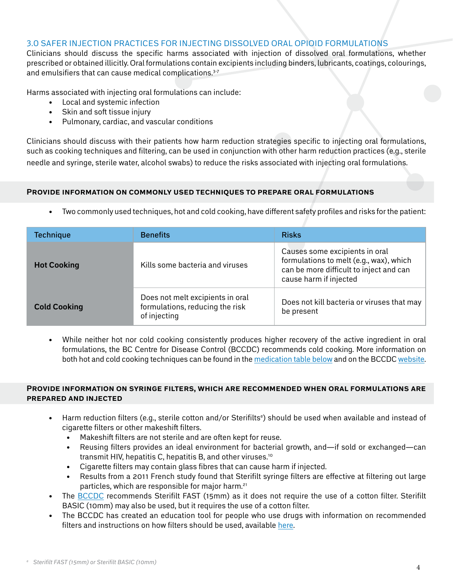## <span id="page-3-0"></span>3.0 Safer Injection Practices for Injecting Dissolved Oral Opioid Formulations

Clinicians should discuss the specific harms associated with injection of dissolved oral formulations, whether prescribed or obtained illicitly. Oral formulations contain excipients including binders, lubricants, coatings, colourings, and emulsifiers that can cause medical complications.<sup>3-7</sup>

Harms associated with injecting oral formulations can include:

- • Local and systemic infection
- Skin and soft tissue injury
- • Pulmonary, cardiac, and vascular conditions

Clinicians should discuss with their patients how harm reduction strategies specific to injecting oral formulations, such as cooking techniques and filtering, can be used in conjunction with other harm reduction practices (e.g., sterile needle and syringe, sterile water, alcohol swabs) to reduce the risks associated with injecting oral formulations.

# **Provide information on commonly used techniques to prepare oral formulations**

• Two commonly used techniques, hot and cold cooking, have different safety profiles and risks for the patient:

| <b>Technique</b>    | <b>Benefits</b>                                                                     | <b>Risks</b>                                                                                                                                   |  |  |
|---------------------|-------------------------------------------------------------------------------------|------------------------------------------------------------------------------------------------------------------------------------------------|--|--|
| <b>Hot Cooking</b>  | Kills some bacteria and viruses                                                     | Causes some excipients in oral<br>formulations to melt (e.g., wax), which<br>can be more difficult to inject and can<br>cause harm if injected |  |  |
| <b>Cold Cooking</b> | Does not melt excipients in oral<br>formulations, reducing the risk<br>of injecting | Does not kill bacteria or viruses that may<br>be present                                                                                       |  |  |

• While neither hot nor cold cooking consistently produces higher recovery of the active ingredient in oral formulations, the BC Centre for Disease Control (BCCDC) recommends cold cooking. More information on both hot and cold cooking techniques can be found in the [medication table below](#page-5-1) and on the BCCDC [website.](https://towardtheheart.com/assets/uploads/1600184036wzIZbQXLPMjrQlsrC5w9bQ78mv6LJxu0KhTfsMr.pdf)

### **Provide information on syringe filters, which are recommended when oral formulations are prepared and injected**

- Harm reduction filters (e.g., sterile cotton and/or Sterifilts<sup>e</sup>) should be used when available and instead of cigarette filters or other makeshift filters.
	- Makeshift filters are not sterile and are often kept for reuse.
	- Reusing filters provides an ideal environment for bacterial growth, and—if sold or exchanged—can transmit HIV, hepatitis C, hepatitis B, and other viruses.10
	- Cigarette filters may contain glass fibres that can cause harm if injected.
	- Results from a 2011 French study found that Sterifilt syringe filters are effective at filtering out large particles, which are responsible for major harm.21
- The [BCCDC](https://towardtheheart.com/assets/uploads/1600371638XIXvT5C87rYowHCsDQM82qRGPDeGWfyt8MVElcJ.pdf) recommends Sterifilt FAST (15mm) as it does not require the use of a cotton filter. Sterifilt BASIC (10mm) may also be used, but it requires the use of a cotton filter.
- The BCCDC has created an education tool for people who use drugs with information on recommended filters and instructions on how filters should be used, available [here.](https://towardtheheart.com/assets/uploads/1600371638XIXvT5C87rYowHCsDQM82qRGPDeGWfyt8MVElcJ.pdf)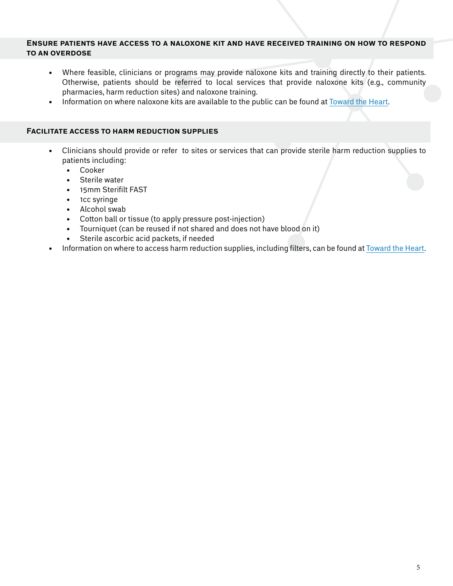#### **Ensure patients have access to a naloxone kit and have received training on how to respond to an overdose**

- Where feasible, clinicians or programs may provide naloxone kits and training directly to their patients. Otherwise, patients should be referred to local services that provide naloxone kits (e.g., community pharmacies, harm reduction sites) and naloxone training.
- Information on where naloxone kits are available to the public can be found at [Toward the Heart.](https://towardtheheart.com/)

### **Facilitate access to harm reduction supplies**

- • Clinicians should provide or refer to sites or services that can provide sterile harm reduction supplies to patients including:
	- • Cooker
	- Sterile water
	- • 15mm Sterifilt FAST
	- • 1cc syringe
	- • Alcohol swab
	- • Cotton ball or tissue (to apply pressure post-injection)
	- • Tourniquet (can be reused if not shared and does not have blood on it)
	- • Sterile ascorbic acid packets, if needed
- Information on where to access harm reduction supplies, including filters, can be found at [Toward the Heart.](https://towardtheheart.com/)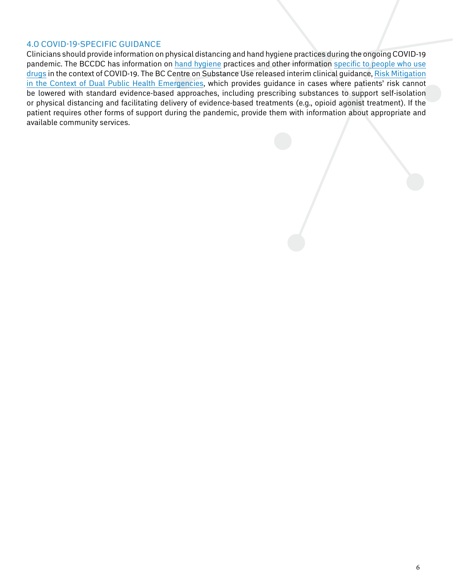## <span id="page-5-0"></span>4.0 COVID-19-specific Guidance

<span id="page-5-1"></span>Clinicians should provide information on physical distancing and hand hygiene practices during the ongoing COVID-19 pandemic. The BCCDC has information on [hand hygiene](http://www.bccdc.ca/health-info/diseases-conditions/covid-19/prevention-risks/hand-washing) practices and other information [specific to people who use](http://www.bccdc.ca/health-info/diseases-conditions/covid-19/priority-populations/people-who-use-substances) [drugs](http://www.bccdc.ca/health-info/diseases-conditions/covid-19/priority-populations/people-who-use-substances) in the context of COVID-19. The BC Centre on Substance Use released interim clinical guidance, [Risk Mitigation](https://www.bccsu.ca/covid-19/) [in the Context of Dual Public Health Emergencies](https://www.bccsu.ca/covid-19/), which provides guidance in cases where patients' risk cannot be lowered with standard evidence-based approaches, including prescribing substances to support self-isolation or physical distancing and facilitating delivery of evidence-based treatments (e.g., opioid agonist treatment). If the patient requires other forms of support during the pandemic, provide them with information about appropriate and available community services.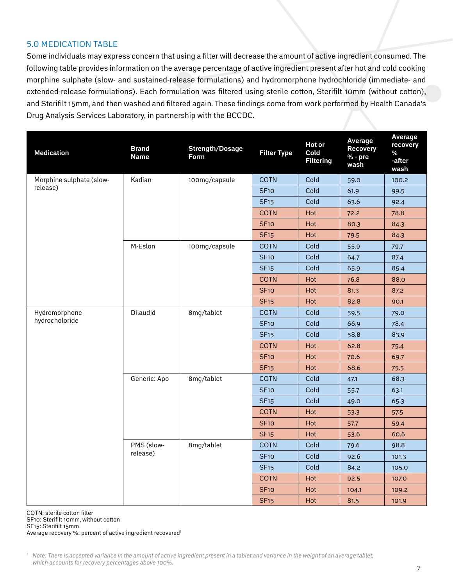# 5.0 Medication table

Some individuals may express concern that using a filter will decrease the amount of active ingredient consumed. The following table provides information on the average percentage of active ingredient present after hot and cold cooking morphine sulphate (slow- and sustained-release formulations) and hydromorphone hydrochloride (immediate- and extended-release formulations). Each formulation was filtered using sterile cotton, Sterifilt 10mm (without cotton), and Sterifilt 15mm, and then washed and filtered again. These findings come from work performed by Health Canada's Drug Analysis Services Laboratory, in partnership with the BCCDC.

| <b>Medication</b>                    | <b>Brand</b><br><b>Name</b> | <b>Strength/Dosage</b><br>Form | <b>Filter Type</b> | Hot or<br>Cold<br><b>Filtering</b> | <b>Average</b><br><b>Recovery</b><br>% - pre<br>wash | Average<br>recovery<br>%<br>-after<br>wash |
|--------------------------------------|-----------------------------|--------------------------------|--------------------|------------------------------------|------------------------------------------------------|--------------------------------------------|
| Morphine sulphate (slow-<br>release) | Kadian                      | 100mg/capsule                  | <b>COTN</b>        | Cold                               | 59.0                                                 | 100.2                                      |
|                                      |                             |                                | <b>SF10</b>        | Cold                               | 61.9                                                 | 99.5                                       |
|                                      |                             |                                | <b>SF15</b>        | Cold                               | 63.6                                                 | 92.4                                       |
|                                      |                             |                                | <b>COTN</b>        | Hot                                | 72.2                                                 | 78.8                                       |
|                                      |                             |                                | <b>SF10</b>        | Hot                                | 80.3                                                 | 84.3                                       |
|                                      |                             |                                | <b>SF15</b>        | Hot                                | 79.5                                                 | 84.3                                       |
|                                      | M-Eslon                     | 100mg/capsule                  | <b>COTN</b>        | Cold                               | 55.9                                                 | 79.7                                       |
|                                      |                             |                                | <b>SF10</b>        | Cold                               | 64.7                                                 | 87.4                                       |
|                                      |                             |                                | <b>SF15</b>        | Cold                               | 65.9                                                 | 85.4                                       |
|                                      |                             |                                | <b>COTN</b>        | Hot                                | 76.8                                                 | 88.0                                       |
|                                      |                             |                                | <b>SF10</b>        | Hot                                | 81.3                                                 | 87.2                                       |
|                                      |                             |                                | <b>SF15</b>        | Hot                                | 82.8                                                 | 90.1                                       |
| Hydromorphone                        | Dilaudid                    | 8mg/tablet                     | <b>COTN</b>        | Cold                               | 59.5                                                 | 79.0                                       |
| hydrocholoride                       |                             |                                | <b>SF10</b>        | Cold                               | 66.9                                                 | 78.4                                       |
|                                      |                             |                                | <b>SF15</b>        | Cold                               | 58.8                                                 | 83.9                                       |
|                                      |                             |                                | <b>COTN</b>        | Hot                                | 62.8                                                 | 75.4                                       |
|                                      |                             |                                | <b>SF10</b>        | Hot                                | 70.6                                                 | 69.7                                       |
|                                      |                             |                                | <b>SF15</b>        | Hot                                | 68.6                                                 | 75.5                                       |
|                                      | Generic: Apo                | 8mg/tablet                     | <b>COTN</b>        | Cold                               | 47.1                                                 | 68.3                                       |
|                                      |                             |                                | <b>SF10</b>        | Cold                               | 55.7                                                 | 63.1                                       |
|                                      |                             |                                | <b>SF15</b>        | Cold                               | 49.0                                                 | 65.3                                       |
|                                      |                             |                                | <b>COTN</b>        | Hot                                | 53.3                                                 | 57.5                                       |
|                                      |                             |                                | <b>SF10</b>        | Hot                                | 57.7                                                 | 59.4                                       |
|                                      |                             |                                | <b>SF15</b>        | Hot                                | 53.6                                                 | 60.6                                       |
|                                      | PMS (slow-<br>release)      | 8mg/tablet                     | <b>COTN</b>        | Cold                               | 79.6                                                 | 98.8                                       |
|                                      |                             |                                | <b>SF10</b>        | Cold                               | 92.6                                                 | 101.3                                      |
|                                      |                             |                                | <b>SF15</b>        | Cold                               | 84.2                                                 | 105.0                                      |
|                                      |                             |                                | <b>COTN</b>        | Hot                                | 92.5                                                 | 107.0                                      |
|                                      |                             |                                | <b>SF10</b>        | Hot                                | 104.1                                                | 109.2                                      |
|                                      |                             |                                | <b>SF15</b>        | Hot                                | 81.5                                                 | 101.9                                      |

COTN: sterile cotton filter

SF10: Sterifilt 10mm, without cotton

SF15: Sterifilt 15mm

Average recovery %: percent of active ingredient recoveredf

*f Note: There is accepted variance in the amount of active ingredient present in a tablet and variance in the weight of an average tablet, which accounts for recovery percentages above 100%.*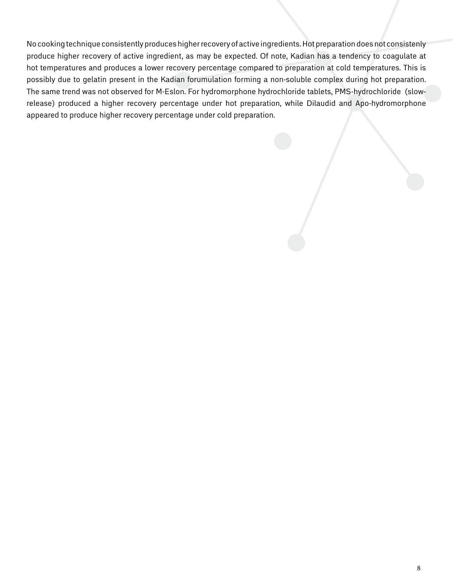No cooking technique consistently produces higher recovery of active ingredients. Hot preparation does not consistenly produce higher recovery of active ingredient, as may be expected. Of note, Kadian has a tendency to coagulate at hot temperatures and produces a lower recovery percentage compared to preparation at cold temperatures. This is possibly due to gelatin present in the Kadian forumulation forming a non-soluble complex during hot preparation. The same trend was not observed for M-Eslon. For hydromorphone hydrochloride tablets, PMS-hydrochloride (slowrelease) produced a higher recovery percentage under hot preparation, while Dilaudid and Apo-hydromorphone appeared to produce higher recovery percentage under cold preparation.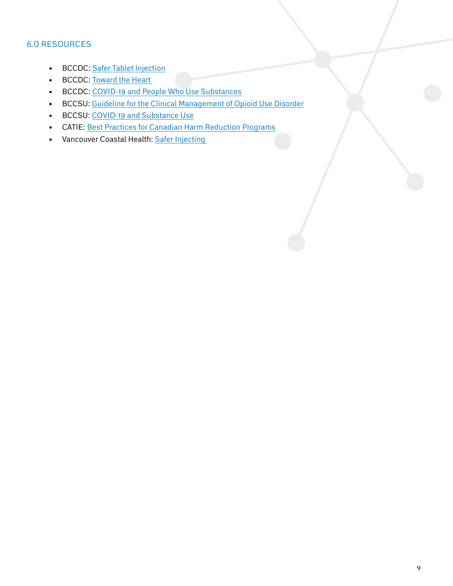# <span id="page-8-0"></span>6.0 Resources

- BCCDC: [Safer Tablet Injection](https://towardtheheart.com/assets/uploads/1600371638XIXvT5C87rYowHCsDQM82qRGPDeGWfyt8MVElcJ.pdf)
- BCCDC: Toward the Heart
- • BCCDC: [COVID-19 and People Who Use Substances](http://www.bccdc.ca/health-info/diseases-conditions/covid-19/priority-populations/people-who-use-substances)
- • BCCSU: [Guideline for the Clinical Management of Opioid Use Disorder](https://www.bccsu.ca/opioid-use-disorder/)
- • BCCSU: [COVID-19 and Substance Use](https://www.bccsu.ca/covid-19/)
- • CATIE: [Best Practices for Canadian Harm Reduction Programs](https://www.catie.ca/en/programming/best-practices-harm-reduction)
- Vancouver Coastal Health: Safer Injecting